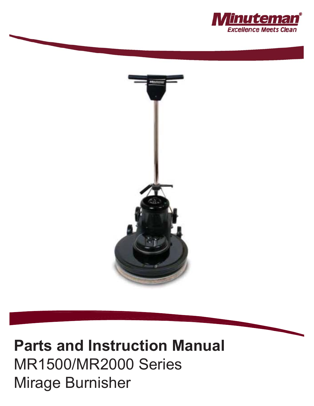



## **Parts and Instruction Manual** MR1500/MR2000 Series Mirage Burnisher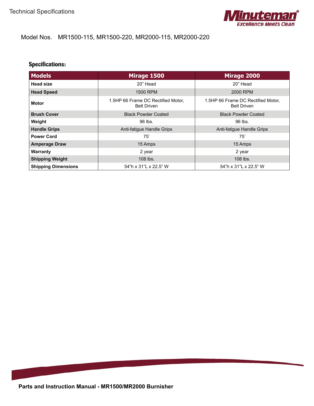

#### Model Nos. MR1500-115, MR1500-220, MR2000-115, MR2000-220

#### **Specifications:**

| <b>Models</b>                                                            | Mirage 1500                                              | Mirage 2000                                              |
|--------------------------------------------------------------------------|----------------------------------------------------------|----------------------------------------------------------|
| <b>Head size</b>                                                         | 20" Head                                                 | 20" Head                                                 |
| <b>Head Speed</b>                                                        | 1500 RPM                                                 | 2000 RPM                                                 |
| 1.5HP 66 Frame DC Rectified Motor,<br><b>Motor</b><br><b>Belt Driven</b> |                                                          | 1.5HP 66 Frame DC Rectified Motor,<br><b>Belt Driven</b> |
| <b>Brush Cover</b>                                                       | <b>Black Powder Coated</b><br><b>Black Powder Coated</b> |                                                          |
| Weight                                                                   | 96 lbs.                                                  | 96 lbs.                                                  |
| <b>Handle Grips</b>                                                      | Anti-fatigue Handle Grips                                | Anti-fatigue Handle Grips                                |
| <b>Power Cord</b>                                                        | 75'                                                      | 75'                                                      |
| <b>Amperage Draw</b>                                                     | 15 Amps                                                  | 15 Amps                                                  |
| <b>Warranty</b>                                                          | 2 year                                                   | 2 year                                                   |
| <b>Shipping Weight</b>                                                   | 108 lbs.                                                 | 108 lbs.                                                 |
| <b>Shipping Dimensions</b>                                               | 54"h x 31"L x 22.5" W                                    | 54"h x 31"L x 22.5" W                                    |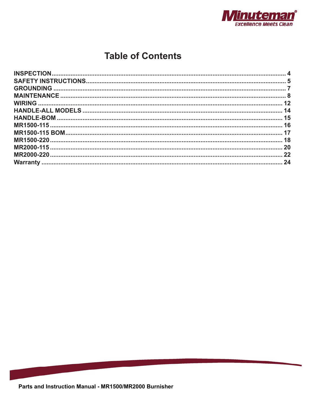

### **Table of Contents**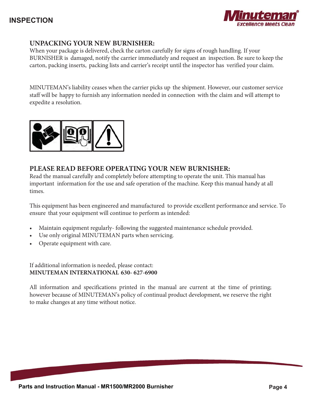

#### **UNPACKING YOUR NEW BURNISHER:**

When your package is delivered, check the carton carefully for signs of rough handling. If your BURNISHER is damaged, notify the carrier immediately and request an inspection. Be sure to keep the carton, packing inserts, packing lists and carrier's receipt until the inspector has verified your claim.

MINUTEMAN's liability ceases when the carrier picks up the shipment. However, our customer service staff will be happy to furnish any information needed in connection with the claim and will attempt to expedite a resolution.



#### **PLEASE READ BEFORE OPERATING YOUR NEW BURNISHER:**

Read the manual carefully and completely before attempting to operate the unit. This manual has important information for the use and safe operation of the machine. Keep this manual handy at all times.

This equipment has been engineered and manufactured to provide excellent performance and service. To ensure that your equipment will continue to perform as intended:

- Maintain equipment regularly- following the suggested maintenance schedule provided.
- Use only original MINUTEMAN parts when servicing.
- Operate equipment with care.

If additional information is needed, please contact: **MINUTEMAN INTERNATIONAL 630- 627-6900**

All information and specifications printed in the manual are current at the time of printing; however because of MINUTEMAN's policy of continual product development, we reserve the right to make changes at any time without notice.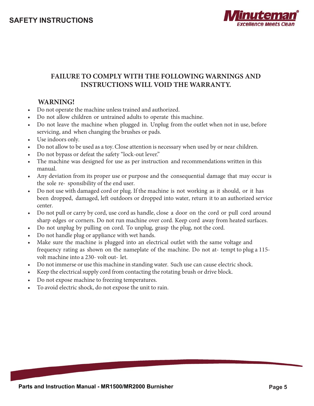

#### **FAILURE TO COMPLY WITH THE FOLLOWING WARNINGS AND INSTRUCTIONS WILL VOID THE WARRANTY.**

#### **WARNING!**

- Do not operate the machine unless trained and authorized.
- Do not allow children or untrained adults to operate this machine.
- Do not leave the machine when plugged in. Unplug from the outlet when not in use, before servicing, and when changing the brushes or pads.
- Use indoors only.
- Do not allow to be used as a toy. Close attention is necessary when used by or near children.
- Do not bypass or defeat the safety "lock-out lever."
- The machine was designed for use as per instruction and recommendations written in this manual.
- Any deviation from its proper use or purpose and the consequential damage that may occur is the sole re- sponsibility of the end user.
- Do not use with damaged cord or plug. If the machine is not working as it should, or it has been dropped, damaged, left outdoors or dropped into water, return it to an authorized service center.
- Do not pull or carry by cord, use cord as handle, close a door on the cord or pull cord around sharp edges or corners. Do not run machine over cord. Keep cord away from heated surfaces.
- Do not unplug by pulling on cord. To unplug, grasp the plug, not the cord.
- Do not handle plug or appliance with wet hands.
- Make sure the machine is plugged into an electrical outlet with the same voltage and frequency rating as shown on the nameplate of the machine. Do not at- tempt to plug a 115 volt machine into a 230- volt out- let.
- Do not immerse or use this machine in standing water. Such use can cause electric shock.
- t Keep the electrical supply cord from contacting the rotating brush or drive block.
- Do not expose machine to freezing temperatures.
- To avoid electric shock, do not expose the unit to rain.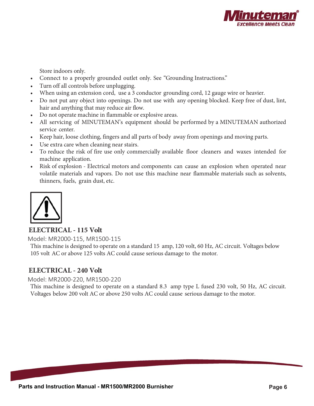

Store indoors only.

- Connect to a properly grounded outlet only. See "Grounding Instructions."
- Turn off all controls before unplugging.
- When using an extension cord, use a 3 conductor grounding cord, 12 gauge wire or heavier.
- Do not put any object into openings. Do not use with any opening blocked. Keep free of dust, lint, hair and anything that may reduce air flow.
- Do not operate machine in flammable or explosive areas.
- All servicing of MINUTEMAN's equipment should be performed by a MINUTEMAN authorized service center.
- Keep hair, loose clothing, fingers and all parts of body away from openings and moving parts.
- Use extra care when cleaning near stairs.
- To reduce the risk of fire use only commercially available floor cleaners and waxes intended for machine application.
- Risk of explosion Electrical motors and components can cause an explosion when operated near volatile materials and vapors. Do not use this machine near flammable materials such as solvents, thinners, fuels, grain dust, etc.



#### **ELECTRICAL - 115 Volt**

Model: MR2000-115, MR1500-115

This machine is designed to operate on a standard 15 amp, 120 volt, 60 Hz, AC circuit. Voltages below 105 volt AC or above 125 volts AC could cause serious damage to the motor.

#### **ELECTRICAL - 240 Volt**

Model: MR2000-220, MR1500-220

This machine is designed to operate on a standard 8.3 amp type L fused 230 volt, 50 Hz, AC circuit. Voltages below 200 volt AC or above 250 volts AC could cause serious damage to the motor.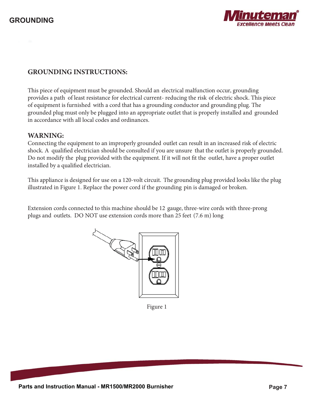

#### **GROUNDING INSTRUCTIONS:**

This piece of equipment must be grounded. Should an electrical malfunction occur, grounding provides a path of least resistance for electrical current- reducing the risk of electric shock. This piece of equipment is furnished with a cord that has a grounding conductor and grounding plug. The grounded plug must only be plugged into an appropriate outlet that is properly installed and grounded in accordance with all local codes and ordinances.

#### **WARNING:**

Connecting the equipment to an improperly grounded outlet can result in an increased risk of electric shock. A qualified electrician should be consulted if you are unsure that the outlet is properly grounded. Do not modify the plug provided with the equipment. If it will not fit the outlet, have a proper outlet installed by a qualified electrician.

This appliance is designed for use on a 120-volt circuit. The grounding plug provided looks like the plug illustrated in Figure 1. Replace the power cord if the grounding pin is damaged or broken.

Extension cords connected to this machine should be 12 gauge, three-wire cords with three-prong plugs and outlets. DO NOT use extension cords more than 25 feet (7.6 m) long



Figure 1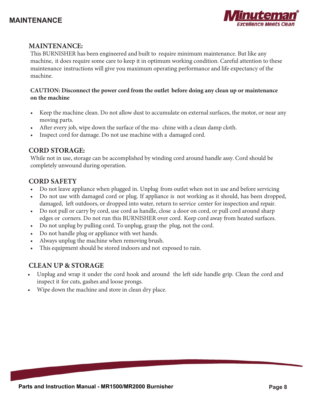#### **MAINTENANCE**



#### **MAINTENANCE:**

This BURNISHER has been engineered and built to require minimum maintenance. But like any machine, it does require some care to keep it in optimum working condition. Careful attention to these maintenance instructions will give you maximum operating performance and life expectancy of the machine.

#### **CAUTION: Disconnect the power cord from the outlet before doing any clean up or maintenance on the machine**

- Keep the machine clean. Do not allow dust to accumulate on external surfaces, the motor, or near any moving parts.
- After every job, wipe down the surface of the ma- chine with a clean damp cloth.
- Inspect cord for damage. Do not use machine with a damaged cord.

#### **CORD STORAGE:**

While not in use, storage can be accomplished by winding cord around handle assy. Cord should be completely unwound during operation.

#### **CORD SAFETY**

- Do not leave appliance when plugged in. Unplug from outlet when not in use and before servicing
- Do not use with damaged cord or plug. If appliance is not working as it should, has been dropped, damaged, left outdoors, or dropped into water, return to service center for inspection and repair.
- Do not pull or carry by cord, use cord as handle, close a door on cord, or pull cord around sharp edges or corners. Do not run this BURNISHER over cord. Keep cord away from heated surfaces.
- Do not unplug by pulling cord. To unplug, grasp the plug, not the cord.
- Do not handle plug or appliance with wet hands.
- Always unplug the machine when removing brush.
- This equipment should be stored indoors and not exposed to rain.

#### **CLEAN UP & STORAGE**

- t Unplug and wrap it under the cord hook and around the left side handle grip. Clean the cord and inspect it for cuts, gashes and loose prongs.
- Wipe down the machine and store in clean dry place.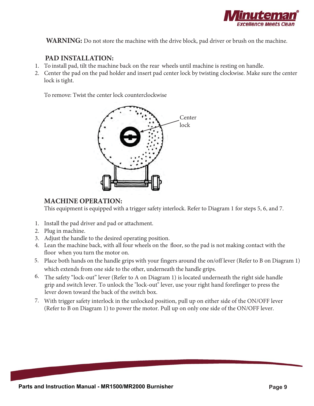

**WARNING:** Do not store the machine with the drive block, pad driver or brush on the machine.

#### **PAD INSTALLATION:**

- 1. To install pad, tilt the machine back on the rear wheels until machine is resting on handle.
- 2. Center the pad on the pad holder and insert pad center lock by twisting clockwise. Make sure the center lock is tight.

To remove: Twist the center lock counterclockwise



#### **MACHINE OPERATION:**

This equipment is equipped with a trigger safety interlock. Refer to Diagram 1 for steps 5, 6, and 7.

- 1. Install the pad driver and pad or attachment.
- 2. Plug in machine.
- 3. Adjust the handle to the desired operating position.
- 4. Lean the machine back, with all four wheels on the floor, so the pad is not making contact with the floor when you turn the motor on.
- 5. Place both hands on the handle grips with your fingers around the on/off lever (Refer to B on Diagram 1) which extends from one side to the other, underneath the handle grips.
- 6. The safety "lock-out" lever (Refer to A on Diagram 1) is located underneath the right side handle grip and switch lever. To unlock the "lock-out" lever, use your right hand forefinger to press the lever down toward the back of the switch box.
- 7. With trigger safety interlock in the unlocked position, pull up on either side of the ON/OFF lever (Refer to B on Diagram 1) to power the motor. Pull up on only one side of the ON/OFF lever.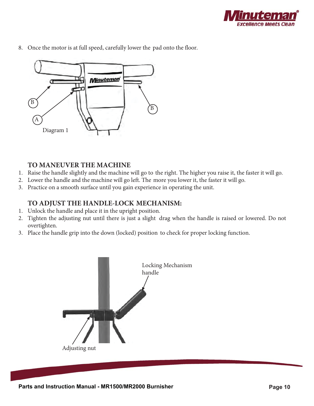

8. Once the motor is at full speed, carefully lower the pad onto the floor.



#### **TO MANEUVER THE MACHINE**

- 1. Raise the handle slightly and the machine will go to the right. The higher you raise it, the faster it will go.
- 2. Lower the handle and the machine will go left. The more you lower it, the faster it will go.
- 3. Practice on a smooth surface until you gain experience in operating the unit.

#### **TO ADJUST THE HANDLE-LOCK MECHANISM:**

- 1. Unlock the handle and place it in the upright position.
- 2. Tighten the adjusting nut until there is just a slight drag when the handle is raised or lowered. Do not overtighten.
- 3. Place the handle grip into the down (locked) position to check for proper locking function.

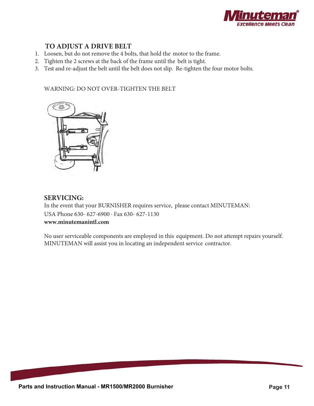

#### **TO ADJUST A DRIVE BELT**

- 1. Loosen, but do not remove the 4 bolts, that hold the motor to the frame.
- 2. Tighten the 2 screws at the back of the frame until the belt is tight.
- 3. Test and re-adjust the belt until the belt does not slip. Re-tighten the four motor bolts.

#### WARNING: DO NOT OVER-TIGHTEN THE BELT



#### **SERVICING:**

In the event that your BURNISHER requires service, please contact MINUTEMAN: USA Phone 630- 627-6900 · Fax 630- 627-1130 **www.minutemanintl.com**

No user serviceable components are employed in this equipment. Do not attempt repairs yourself. MINUTEMAN will assist you in locating an independent service contractor.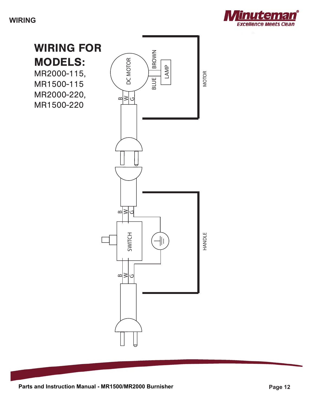**WIRING**



WIRING FOR **BROWN** BLUE | BROWN MODELS: DC MOTOR DC MOTOR LAMP MR2000-115, **MOTOR** HANDLE MOTOR **BLUE** MR1500-115 MR2000-220,  $\infty$ GI≥l MR1500-220 $\infty$  $\geq$  $\mathfrak{c}$ **HANDLE** SWITCH  $\frac{1}{2}$  $\infty$ ≳ رح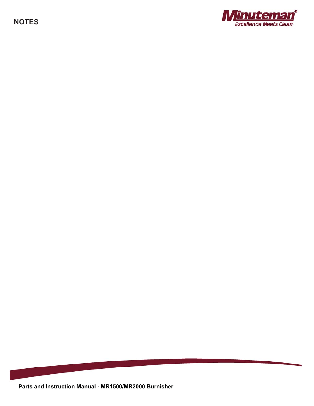**NOTES**



**Parts and Instruction Manual - MR1500/MR2000 Burnisher**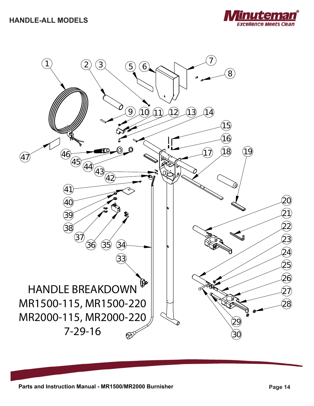

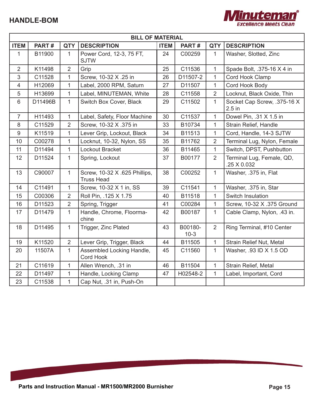

|                | <b>BILL OF MATERIAL</b> |                |                                                    |             |                   |                |                                          |  |
|----------------|-------------------------|----------------|----------------------------------------------------|-------------|-------------------|----------------|------------------------------------------|--|
| <b>ITEM</b>    | PART#                   | <b>QTY</b>     | <b>DESCRIPTION</b>                                 | <b>ITEM</b> | PART#             | <b>QTY</b>     | <b>DESCRIPTION</b>                       |  |
| $\mathbf{1}$   | B11900                  | $\mathbf{1}$   | Power Cord, 12-3, 75 FT,<br><b>SJTW</b>            | 24          | C00259            | $\mathbf{1}$   | Washer, Slotted, Zinc                    |  |
| $\overline{2}$ | K11498                  | $\overline{2}$ | Grip                                               | 25          | C11536            | $\mathbf{1}$   | Spade Bolt, .375-16 X 4 in               |  |
| 3              | C11528                  | $\mathbf{1}$   | Screw, 10-32 X .25 in                              | 26          | D11507-2          | $\mathbf{1}$   | Cord Hook Clamp                          |  |
| $\overline{4}$ | H12069                  | 1              | Label, 2000 RPM, Saturn                            | 27          | D11507            | $\mathbf{1}$   | Cord Hook Body                           |  |
| 5              | H13699                  | $\mathbf{1}$   | Label, MINUTEMAN, White                            | 28          | C11558            | $\overline{2}$ | Locknut, Black Oxide, Thin               |  |
| $6\phantom{1}$ | D11496B                 | $\mathbf{1}$   | Switch Box Cover, Black                            | 29          | C11502            | $\mathbf{1}$   | Socket Cap Screw, .375-16 X<br>$2.5$ in  |  |
| $\overline{7}$ | H11493                  | 1              | Label, Safety, Floor Machine                       | 30          | C11537            | $\mathbf{1}$   | Dowel Pin, .31 X 1.5 in                  |  |
| 8              | C11529                  | $\overline{2}$ | Screw, 10-32 X .375 in                             | 33          | B10734            | $\mathbf{1}$   | Strain Relief, Handle                    |  |
| 9              | K11519                  | 1              | Lever Grip, Lockout, Black                         | 34          | B11513            | $\mathbf{1}$   | Cord, Handle, 14-3 SJTW                  |  |
| 10             | C00278                  | $\overline{1}$ | Locknut, 10-32, Nylon, SS                          | 35          | B11762            | $\overline{2}$ | Terminal Lug, Nylon, Female              |  |
| 11             | D11494                  | 1              | Lockout Bracket                                    | 36          | B11465            | $\mathbf{1}$   | Switch, DPST, Pushbutton                 |  |
| 12             | D11524                  | $\mathbf{1}$   | Spring, Lockout                                    | 37          | B00177            | $\overline{2}$ | Terminal Lug, Female, QD,<br>.25 X 0.032 |  |
| 13             | C90007                  | $\mathbf{1}$   | Screw, 10-32 X .625 Phillips,<br><b>Truss Head</b> | 38          | C00252            | $\mathbf{1}$   | Washer, .375 in, Flat                    |  |
| 14             | C11491                  | $\mathbf{1}$   | Screw, 10-32 X 1 in, SS                            | 39          | C11541            | $\mathbf{1}$   | Washer, .375 in, Star                    |  |
| 15             | C00306                  | $\overline{2}$ | Roll Pin, .125 X 1.75                              | 40          | B11518            | $\mathbf{1}$   | Switch Insulation                        |  |
| 16             | D11523                  | $\overline{2}$ | Spring, Trigger                                    | 41          | C00284            | $\mathbf{1}$   | Screw, 10-32 X .375 Ground               |  |
| 17             | D11479                  | $\mathbf{1}$   | Handle, Chrome, Floorma-<br>chine                  | 42          | B00187            | $\mathbf{1}$   | Cable Clamp, Nylon, .43 in.              |  |
| 18             | D11495                  | $\mathbf{1}$   | Trigger, Zinc Plated                               | 43          | B00180-<br>$10-3$ | $\overline{2}$ | Ring Terminal, #10 Center                |  |
| 19             | K11520                  | $\overline{2}$ | Lever Grip, Trigger, Black                         | 44          | B11505            | $\mathbf{1}$   | Strain Relief Nut, Metal                 |  |
| 20             | 11507A                  | $\mathbf{1}$   | Assembled Locking Handle,<br><b>Cord Hook</b>      | 45          | C11560            | $\mathbf{1}$   | Washer, .93 ID X 1.5 OD                  |  |
| 21             | C11619                  | $\mathbf{1}$   | Allen Wrench, .31 in                               | 46          | B11504            | $\mathbf{1}$   | Strain Relief, Metal                     |  |
| 22             | D11497                  | 1              | Handle, Locking Clamp                              | 47          | H02548-2          | $\mathbf{1}$   | Label, Important, Cord                   |  |
| 23             | C11538                  | $\mathbf{1}$   | Cap Nut, .31 in, Push-On                           |             |                   |                |                                          |  |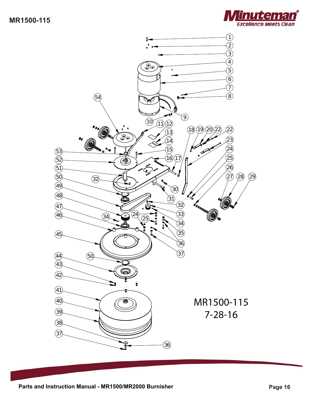

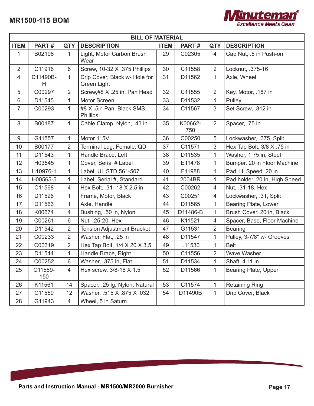

|                | <b>BILL OF MATERIAL</b> |                |                                              |             |                |                |                               |  |
|----------------|-------------------------|----------------|----------------------------------------------|-------------|----------------|----------------|-------------------------------|--|
| <b>ITEM</b>    | PART#                   | <b>QTY</b>     | <b>DESCRIPTION</b>                           | <b>ITEM</b> | PART#          | <b>QTY</b>     | <b>DESCRIPTION</b>            |  |
| 1              | B02196                  | 1              | Light, Motor Carbon Brush<br>Wear            | 29          | C02305         | 4              | Cap Nut, .5 in Push-on        |  |
| $\overline{2}$ | C11916                  | $6\phantom{1}$ | Screw, 10-32 X .375 Phillips                 | 30          | C11558         | $\overline{2}$ | Locknut, .375-16              |  |
| 4              | D11490B-<br>H           | $\mathbf{1}$   | Drip Cover, Black w- Hole for<br>Green Light | 31          | D11562         | $\mathbf{1}$   | Axle, Wheel                   |  |
| 5              | C00297                  | $\overline{2}$ | Screw,#8 X .25 in, Pan Head                  | 32          | C11555         | $\overline{2}$ | Key, Motor, .187 in           |  |
| $6\,$          | D11545                  | 1              | Motor Screen                                 | 33          | D11532         | 1              | Pulley                        |  |
| $\overline{7}$ | C00293                  | $\mathbf{1}$   | #8 X .5in Pan, Black SMS,<br><b>Phillips</b> | 34          | C11567         | $\mathfrak{S}$ | Set Screw, .312 in            |  |
| 8              | B00187                  | 1              | Cable Clamp, Nylon, .43 in.                  | 35          | K00662-<br>750 | $\overline{2}$ | Spacer, .75 in                |  |
| $9\,$          | G11557                  | $\mathbf{1}$   | Motor 115V                                   | 36          | C00250         | 5              | Lockwasher, .375, Split       |  |
| 10             | B00177                  | $\overline{2}$ | Terminal Lug, Female, QD,                    | 37          | C11571         | $\mathfrak{S}$ | Hex Tap Bolt, 3/8 X .75 in    |  |
| 11             | D11543                  | 1              | Handle Brace, Left                           | 38          | D11535         | 1              | Washer, 1.75 in, Steel        |  |
| 12             | H03545                  | 1              | Cover, Serial # Label                        | 39          | E11478         | $\mathbf{1}$   | Bumper, 20 in Floor Machine   |  |
| 13             | H10976-1                | 1              | Label, UL STD 561-507                        | 40          | F11988         | 1              | Pad, Hi Speed, 20 in          |  |
| 14             | H00565-5                | 1              | Label, Serial #, Standard                    | 41          | 2004BR         | 1              | Pad holder, 20 in, High Speed |  |
| 15             | C11568                  | $\overline{4}$ | Hex Bolt, .31- 18 X 2.5 in                   | 42          | C00262         | $\overline{4}$ | Nut, .31-18, Hex              |  |
| 16             | D11526                  | $\mathbf{1}$   | Frame, Motor, Black                          | 43          | C00251         | $\overline{4}$ | Lockwasher, .31, Split        |  |
| 17             | D11563                  | 1              | Axle, Handle                                 | 44          | D11565         | 1              | Bearing Plate, Lower          |  |
| 18             | K00674                  | $\overline{4}$ | Bushing, .50 in, Nylon                       | 45          | D11486-B       | $\mathbf{1}$   | Brush Cover, 20 in, Black     |  |
| 19             | C00261                  | $6\,$          | Nut, .25-20, Hex                             | 46          | K11521         | $\overline{4}$ | Spacer, Base, Floor Machine   |  |
| 20             | D11542                  | $\overline{2}$ | <b>Tension Adjustment Bracket</b>            | 47          | G11531         | $\overline{2}$ | <b>Bearing</b>                |  |
| 21             | C00233                  | $\overline{2}$ | Washer, Flat, .25 in                         | 48          | D11547         | 1              | Pulley, 3-7/8" w- Grooves     |  |
| 22             | C00319                  | $\overline{2}$ | Hex Tap Bolt, 1/4 X 20 X 3.5                 | 49          | L11530         | $\mathbf{1}$   | <b>Belt</b>                   |  |
| 23             | D11544                  | 1              | Handle Brace, Right                          | 50          | C11556         | $\overline{2}$ | <b>Wave Washer</b>            |  |
| 24             | C00252                  | 6              | Washer, .375 in, Flat                        | 51          | D11534         | $\mathbf 1$    | Shaft, 4.11 in                |  |
| 25             | C11569-<br>150          | 4              | Hex screw, 3/8-16 X 1.5                      | 52          | D11566         | 1              | Bearing Plate, Upper          |  |
| 26             | K11561                  | 14             | Spacer, .25 lg, Nylon, Natural               | 53          | C11574         | 1              | <b>Retaining Ring</b>         |  |
| 27             | C11559                  | 12             | Washer, .515 X .875 X .032                   | 54          | D11490B        | $\mathbf{1}$   | Drip Cover, Black             |  |
| 28             | G11943                  | $\overline{4}$ | Wheel, 5 in Saturn                           |             |                |                |                               |  |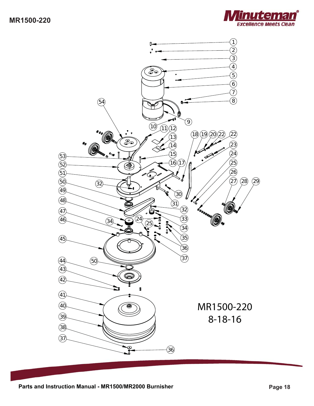



Parts and Instruction Manual - MR1500/MR2000 Burnisher **Page 18** Page 18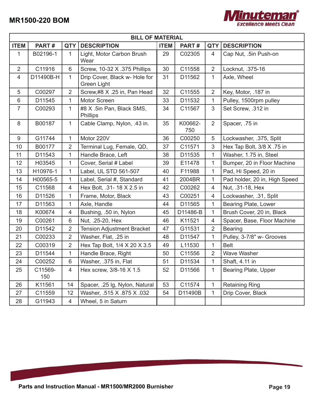

|                | <b>BILL OF MATERIAL</b> |                |                                              |             |                |                |                               |
|----------------|-------------------------|----------------|----------------------------------------------|-------------|----------------|----------------|-------------------------------|
| <b>ITEM</b>    | PART#                   | <b>QTY</b>     | <b>DESCRIPTION</b>                           | <b>ITEM</b> | PART#          | <b>QTY</b>     | <b>DESCRIPTION</b>            |
| 1              | B02196-1                | 1.             | Light, Motor Carbon Brush<br>Wear            | 29          | C02305         | 4              | Cap Nut, .5in Push-on         |
| $\overline{2}$ | C11916                  | $6\phantom{1}$ | Screw, 10-32 X .375 Phillips                 | 30          | C11558         | $\overline{2}$ | Locknut, .375-16              |
| $\overline{4}$ | D11490B-H               | $\mathbf{1}$   | Drip Cover, Black w- Hole for<br>Green Light | 31          | D11562         | $\mathbf{1}$   | Axle, Wheel                   |
| 5              | C00297                  | 2              | Screw,#8 X .25 in, Pan Head                  | 32          | C11555         | $\overline{2}$ | Key, Motor, .187 in           |
| $6\,$          | D11545                  | 1              | <b>Motor Screen</b>                          | 33          | D11532         | $\mathbf{1}$   | Pulley, 1500rpm pulley        |
| $\overline{7}$ | C00293                  | 1              | #8 X .5in Pan, Black SMS,<br><b>Phillips</b> | 34          | C11567         | 3              | Set Screw, .312 in            |
| 8              | B00187                  | $\mathbf{1}$   | Cable Clamp, Nylon, .43 in.                  | 35          | K00662-<br>750 | $\overline{2}$ | Spacer, .75 in                |
| $9\,$          | G11744                  | 1              | Motor 220V                                   | 36          | C00250         | 5              | Lockwasher, .375, Split       |
| 10             | B00177                  | 2              | Terminal Lug, Female, QD,                    | 37          | C11571         | 3              | Hex Tap Bolt, 3/8 X .75 in    |
| 11             | D11543                  | 1              | Handle Brace, Left                           | 38          | D11535         | 1              | Washer, 1.75 in, Steel        |
| 12             | H03545                  | 1              | Cover, Serial # Label                        | 39          | E11478         | $\mathbf{1}$   | Bumper, 20 in Floor Machine   |
| 13             | H10976-1                | 1              | Label, UL STD 561-507                        | 40          | F11988         | $\mathbf{1}$   | Pad, Hi Speed, 20 in          |
| 14             | H00565-5                | 1              | Label, Serial #, Standard                    | 41          | 2004BR         | 1              | Pad holder, 20 in, High Speed |
| 15             | C11568                  | $\overline{4}$ | Hex Bolt, .31- 18 X 2.5 in                   | 42          | C00262         | $\overline{4}$ | Nut, .31-18, Hex              |
| 16             | D11526                  | $\mathbf{1}$   | Frame, Motor, Black                          | 43          | C00251         | $\overline{4}$ | Lockwasher, .31, Split        |
| 17             | D11563                  | 1              | Axle, Handle                                 | 44          | D11565         | 1              | Bearing Plate, Lower          |
| 18             | K00674                  | $\overline{4}$ | Bushing, .50 in, Nylon                       | 45          | D11486-B       | $\mathbf{1}$   | Brush Cover, 20 in, Black     |
| 19             | C00261                  | 6              | Nut, .25-20, Hex                             | 46          | K11521         | 4              | Spacer, Base, Floor Machine   |
| 20             | D11542                  | $\overline{2}$ | <b>Tension Adjustment Bracket</b>            | 47          | G11531         | $\overline{2}$ | <b>Bearing</b>                |
| 21             | C00233                  | $\overline{2}$ | Washer, Flat, .25 in                         | 48          | D11547         | $\mathbf{1}$   | Pulley, 3-7/8" w- Grooves     |
| 22             | C00319                  | $\overline{2}$ | Hex Tap Bolt, 1/4 X 20 X 3.5                 | 49          | L11530         | $\mathbf{1}$   | <b>Belt</b>                   |
| 23             | D11544                  | 1              | Handle Brace, Right                          | 50          | C11556         | $\overline{2}$ | <b>Wave Washer</b>            |
| 24             | C00252                  | 6              | Washer, .375 in, Flat                        | 51          | D11534         | 1              | Shaft, 4.11 in                |
| 25             | C11569-<br>150          | 4              | Hex screw, 3/8-16 X 1.5                      | 52          | D11566         | $\mathbf{1}$   | Bearing Plate, Upper          |
| 26             | K11561                  | 14             | Spacer, .25 lg, Nylon, Natural               | 53          | C11574         | $\mathbf{1}$   | <b>Retaining Ring</b>         |
| 27             | C11559                  | 12             | Washer, .515 X .875 X .032                   | 54          | D11490B        | $\mathbf{1}$   | Drip Cover, Black             |
| 28             | G11943                  | $\overline{4}$ | Wheel, 5 in Saturn                           |             |                |                |                               |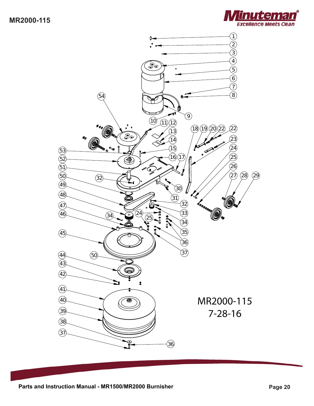

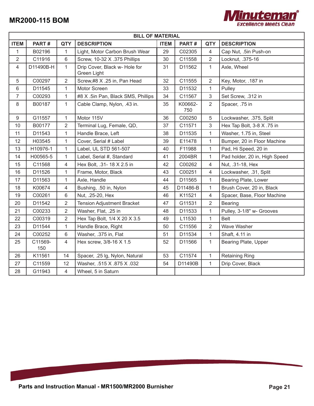

|                | <b>BILL OF MATERIAL</b> |                |                                              |             |                |                |                               |
|----------------|-------------------------|----------------|----------------------------------------------|-------------|----------------|----------------|-------------------------------|
| <b>ITEM</b>    | PART#                   | <b>QTY</b>     | <b>DESCRIPTION</b>                           | <b>ITEM</b> | PART#          | <b>QTY</b>     | <b>DESCRIPTION</b>            |
| 1              | B02196                  | $\mathbf{1}$   | Light, Motor Carbon Brush Wear               | 29          | C02305         | $\overline{4}$ | Cap Nut, .5in Push-on         |
| $\sqrt{2}$     | C11916                  | 6              | Screw, 10-32 X .375 Phillips                 | 30          | C11558         | $\overline{2}$ | Locknut, .375-16              |
| 4              | D11490B-H               | $\mathbf{1}$   | Drip Cover, Black w- Hole for<br>Green Light | 31          | D11562         | $\mathbf{1}$   | Axle, Wheel                   |
| 5              | C00297                  | $\overline{2}$ | Screw,#8 X .25 in, Pan Head                  | 32          | C11555         | $\overline{2}$ | Key, Motor, .187 in           |
| $6\,$          | D11545                  | 1              | Motor Screen                                 | 33          | D11532         | 1              | Pulley                        |
| $\overline{7}$ | C00293                  | 1              | #8 X .5in Pan, Black SMS, Phillips           | 34          | C11567         | $\mathfrak{S}$ | Set Screw, .312 in            |
| 8              | B00187                  | $\mathbf{1}$   | Cable Clamp, Nylon, .43 in.                  | 35          | K00662-<br>750 | $\overline{2}$ | Spacer, .75 in                |
| $9\,$          | G11557                  | 1              | Motor 115V                                   | 36          | C00250         | 5              | Lockwasher, .375, Split       |
| 10             | B00177                  | $\overline{2}$ | Terminal Lug, Female, QD,                    | 37          | C11571         | $\mathfrak{S}$ | Hex Tap Bolt, 3-8 X .75 in    |
| 11             | D11543                  | $\mathbf{1}$   | Handle Brace, Left                           | 38          | D11535         | $\mathbf{1}$   | Washer, 1.75 in, Steel        |
| 12             | H03545                  | 1              | Cover, Serial # Label                        | 39          | E11478         | $\mathbf{1}$   | Bumper, 20 in Floor Machine   |
| 13             | H10976-1                | $\mathbf{1}$   | Label, UL STD 561-507                        | 40          | F11988         | $\mathbf{1}$   | Pad, Hi Speed, 20 in          |
| 14             | H00565-5                | 1              | Label, Serial #, Standard                    | 41          | 2004BR         | $\mathbf{1}$   | Pad holder, 20 in, High Speed |
| 15             | C11568                  | $\overline{4}$ | Hex Bolt, .31- 18 X 2.5 in                   | 42          | C00262         | $\overline{4}$ | Nut, .31-18, Hex              |
| 16             | D11526                  | $\mathbf{1}$   | Frame, Motor, Black                          | 43          | C00251         | $\overline{4}$ | Lockwasher, .31, Split        |
| 17             | D11563                  | 1              | Axle, Handle                                 | 44          | D11565         | $\mathbf{1}$   | Bearing Plate, Lower          |
| 18             | K00674                  | $\overline{4}$ | Bushing, .50 in, Nylon                       | 45          | D11486-B       | $\mathbf{1}$   | Brush Cover, 20 in, Black     |
| 19             | C00261                  | $6\phantom{1}$ | Nut, .25-20, Hex                             | 46          | K11521         | 4              | Spacer, Base, Floor Machine   |
| 20             | D11542                  | $\overline{2}$ | <b>Tension Adjustment Bracket</b>            | 47          | G11531         | $\overline{2}$ | Bearing                       |
| 21             | C00233                  | $\overline{2}$ | Washer, Flat, .25 in                         | 48          | D11533         | $\mathbf{1}$   | Pulley, 3-1/8" w- Grooves     |
| 22             | C00319                  | $\overline{2}$ | Hex Tap Bolt, 1/4 X 20 X 3.5                 | 49          | L11530         | $\mathbf{1}$   | <b>Belt</b>                   |
| 23             | D11544                  | 1              | Handle Brace, Right                          | 50          | C11556         | $\overline{2}$ | Wave Washer                   |
| 24             | C00252                  | $6\phantom{1}$ | Washer, .375 in, Flat                        | 51          | D11534         | $\mathbf{1}$   | Shaft, 4.11 in                |
| 25             | C11569-<br>150          | $\overline{4}$ | Hex screw, 3/8-16 X 1.5                      | 52          | D11566         | $\mathbf{1}$   | Bearing Plate, Upper          |
| 26             | K11561                  | 14             | Spacer, .25 lg, Nylon, Natural               | 53          | C11574         | $\mathbf{1}$   | <b>Retaining Ring</b>         |
| 27             | C11559                  | 12             | Washer, .515 X .875 X .032                   | 54          | D11490B        | 1              | Drip Cover, Black             |
| 28             | G11943                  | $\overline{4}$ | Wheel, 5 in Saturn                           |             |                |                |                               |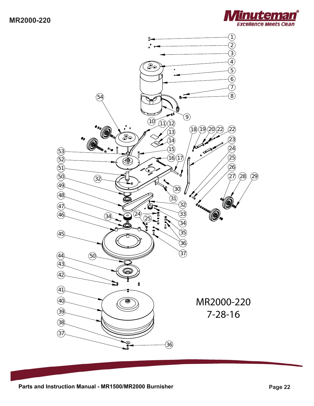

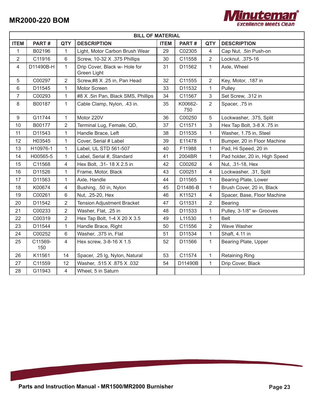

|                | <b>BILL OF MATERIAL</b> |                |                                              |             |                |                |                               |
|----------------|-------------------------|----------------|----------------------------------------------|-------------|----------------|----------------|-------------------------------|
| <b>ITEM</b>    | PART#                   | <b>QTY</b>     | <b>DESCRIPTION</b>                           | <b>ITEM</b> | PART#          | <b>QTY</b>     | <b>DESCRIPTION</b>            |
| $\mathbf{1}$   | B02196                  | $\mathbf{1}$   | Light, Motor Carbon Brush Wear               | 29          | C02305         | 4              | Cap Nut, .5in Push-on         |
| $\overline{2}$ | C11916                  | 6              | Screw, 10-32 X .375 Phillips                 | 30          | C11558         | $\overline{2}$ | Locknut, .375-16              |
| $\overline{4}$ | D11490B-H               | $\mathbf{1}$   | Drip Cover, Black w- Hole for<br>Green Light | 31          | D11562         | $\mathbf{1}$   | Axle, Wheel                   |
| 5              | C00297                  | $\overline{2}$ | Screw,#8 X .25 in, Pan Head                  | 32          | C11555         | $\overline{2}$ | Key, Motor, .187 in           |
| 6              | D11545                  | 1              | Motor Screen                                 | 33          | D11532         | $\mathbf{1}$   | Pulley                        |
| $\overline{7}$ | C00293                  | $\mathbf{1}$   | #8 X .5in Pan, Black SMS, Phillips           | 34          | C11567         | $\mathfrak{S}$ | Set Screw, .312 in            |
| 8              | B00187                  | $\mathbf{1}$   | Cable Clamp, Nylon, .43 in.                  | 35          | K00662-<br>750 | $\overline{2}$ | Spacer, .75 in                |
| 9              | G11744                  | 1              | Motor 220V                                   | 36          | C00250         | 5              | Lockwasher, .375, Split       |
| 10             | B00177                  | $\overline{2}$ | Terminal Lug, Female, QD,                    | 37          | C11571         | $\mathfrak{S}$ | Hex Tap Bolt, 3-8 X .75 in    |
| 11             | D11543                  | $\mathbf{1}$   | Handle Brace, Left                           | 38          | D11535         | $\mathbf{1}$   | Washer, 1.75 in, Steel        |
| 12             | H03545                  | 1              | Cover, Serial # Label                        | 39          | E11478         | $\mathbf{1}$   | Bumper, 20 in Floor Machine   |
| 13             | H10976-1                | $\mathbf{1}$   | Label, UL STD 561-507                        | 40          | F11988         | $\mathbf{1}$   | Pad, Hi Speed, 20 in          |
| 14             | H00565-5                | $\mathbf{1}$   | Label, Serial #, Standard                    | 41          | 2004BR         | $\mathbf{1}$   | Pad holder, 20 in, High Speed |
| 15             | C11568                  | $\overline{4}$ | Hex Bolt, .31- 18 X 2.5 in                   | 42          | C00262         | $\overline{4}$ | Nut, .31-18, Hex              |
| 16             | D11526                  | $\mathbf{1}$   | Frame, Motor, Black                          | 43          | C00251         | $\overline{4}$ | Lockwasher, .31, Split        |
| 17             | D11563                  | 1              | Axle, Handle                                 | 44          | D11565         | $\mathbf{1}$   | Bearing Plate, Lower          |
| 18             | K00674                  | 4              | Bushing, .50 in, Nylon                       | 45          | D11486-B       | $\mathbf{1}$   | Brush Cover, 20 in, Black     |
| 19             | C00261                  | 6              | Nut, .25-20, Hex                             | 46          | K11521         | $\overline{4}$ | Spacer, Base, Floor Machine   |
| 20             | D11542                  | $\overline{2}$ | <b>Tension Adjustment Bracket</b>            | 47          | G11531         | $\overline{2}$ | Bearing                       |
| 21             | C00233                  | $\overline{2}$ | Washer, Flat, .25 in                         | 48          | D11533         | $\mathbf{1}$   | Pulley, 3-1/8" w- Grooves     |
| 22             | C00319                  | $\overline{2}$ | Hex Tap Bolt, 1-4 X 20 X 3.5                 | 49          | L11530         | $\mathbf{1}$   | <b>Belt</b>                   |
| 23             | D11544                  | $\mathbf{1}$   | Handle Brace, Right                          | 50          | C11556         | $\overline{2}$ | Wave Washer                   |
| 24             | C00252                  | $6\,$          | Washer, .375 in, Flat                        | 51          | D11534         | $\mathbf{1}$   | Shaft, 4.11 in                |
| 25             | C11569-<br>150          | $\overline{4}$ | Hex screw, 3-8-16 X 1.5                      | 52          | D11566         | $\mathbf{1}$   | Bearing Plate, Upper          |
| 26             | K11561                  | 14             | Spacer, .25 lg, Nylon, Natural               | 53          | C11574         | $\mathbf{1}$   | <b>Retaining Ring</b>         |
| 27             | C11559                  | 12             | Washer, .515 X .875 X .032                   | 54          | D11490B        | 1              | Drip Cover, Black             |
| 28             | G11943                  | $\overline{4}$ | Wheel, 5 in Saturn                           |             |                |                |                               |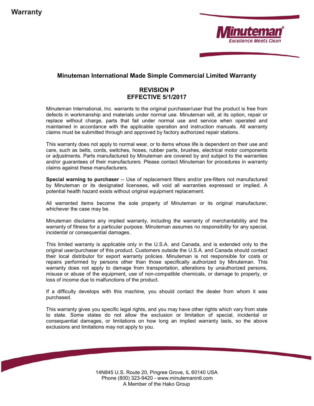

#### Minuteman International Made Simple Commercial Limited Warranty

#### REVISION P EFFECTIVE 5/1/2017

Minuteman International, Inc. warrants to the original purchaser/user that the product is free from defects in workmanship and materials under normal use. Minuteman will, at its option, repair or replace without charge, parts that fail under normal use and service when operated and maintained in accordance with the applicable operation and instruction manuals. All warranty claims must be submitted through and approved by factory authorized repair stations.

This warranty does not apply to normal wear, or to items whose life is dependent on their use and care, such as belts, cords, switches, hoses, rubber parts, brushes, electrical motor components or adjustments. Parts manufactured by Minuteman are covered by and subject to the warranties and/or guarantees of their manufacturers. Please contact Minuteman for procedures in warranty claims against these manufacturers.

Special warning to purchaser -- Use of replacement filters and/or pre-filters not manufactured by Minuteman or its designated licensees, will void all warranties expressed or implied. A potential health hazard exists without original equipment replacement.

All warranted items become the sole property of Minuteman or its original manufacturer, whichever the case may be.

Minuteman disclaims any implied warranty, including the warranty of merchantability and the warranty of fitness for a particular purpose. Minuteman assumes no responsibility for any special, incidental or consequential damages.

This limited warranty is applicable only in the U.S.A. and Canada, and is extended only to the original user/purchaser of this product. Customers outside the U.S.A. and Canada should contact their local distributor for export warranty policies. Minuteman is not responsible for costs or repairs performed by persons other than those specifically authorized by Minuteman. This warranty does not apply to damage from transportation, alterations by unauthorized persons, misuse or abuse of the equipment, use of non-compatible chemicals, or damage to property, or loss of income due to malfunctions of the product.

If a difficulty develops with this machine, you should contact the dealer from whom it was purchased.

This warranty gives you specific legal rights, and you may have other rights which vary from state to state. Some states do not allow the exclusion or limitation of special, incidental or consequential damages, or limitations on how long an implied warranty lasts, so the above exclusions and limitations may not apply to you.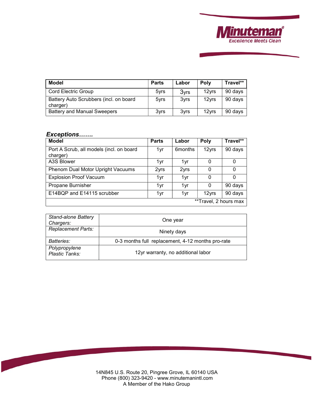

| <b>Model</b>                                       | <b>Parts</b>     | Labor            | <b>Poly</b>       | Travel** |
|----------------------------------------------------|------------------|------------------|-------------------|----------|
| <b>Cord Electric Group</b>                         | 5 <sub>vrs</sub> | 3 <sub>vrs</sub> | 12 <sub>vrs</sub> | 90 days  |
| Battery Auto Scrubbers (incl. on board<br>charger) | 5yrs             | 3yrs             | 12 <sub>vrs</sub> | 90 days  |
| <b>Battery and Manual Sweepers</b>                 | 3yrs             | 3 <sub>vrs</sub> | 12 <sub>vrs</sub> | 90 days  |

#### *Exceptions…….*

| <b>Model</b>                                         | <b>Parts</b> | Labor                | Poly                  | Travel** |
|------------------------------------------------------|--------------|----------------------|-----------------------|----------|
| Port A Scrub, all models (incl. on board<br>charger) | 1yr          | 6 <sub>m</sub> onths | 12yrs                 | 90 days  |
| A3S Blower                                           | 1yr          | 1yr                  |                       |          |
| Phenom Dual Motor Upright Vacuums                    | 2yrs         | 2yrs                 |                       | 0        |
| <b>Explosion Proof Vacuum</b>                        | 1yr          | 1yr                  | 0                     | 0        |
| Propane Burnisher                                    | 1yr          | 1yr                  | 0                     | 90 days  |
| E14BQP and E14115 scrubber                           | 1yr          | 1yr                  | 12yrs                 | 90 days  |
|                                                      |              |                      | **Travel, 2 hours max |          |

| <b>Stand-alone Battery</b><br>Chargers: | One year                                          |
|-----------------------------------------|---------------------------------------------------|
| <b>Replacement Parts:</b>               | Ninety days                                       |
| Batteries:                              | 0-3 months full replacement, 4-12 months pro-rate |
| Polypropylene<br>Plastic Tanks:         | 12yr warranty, no additional labor                |